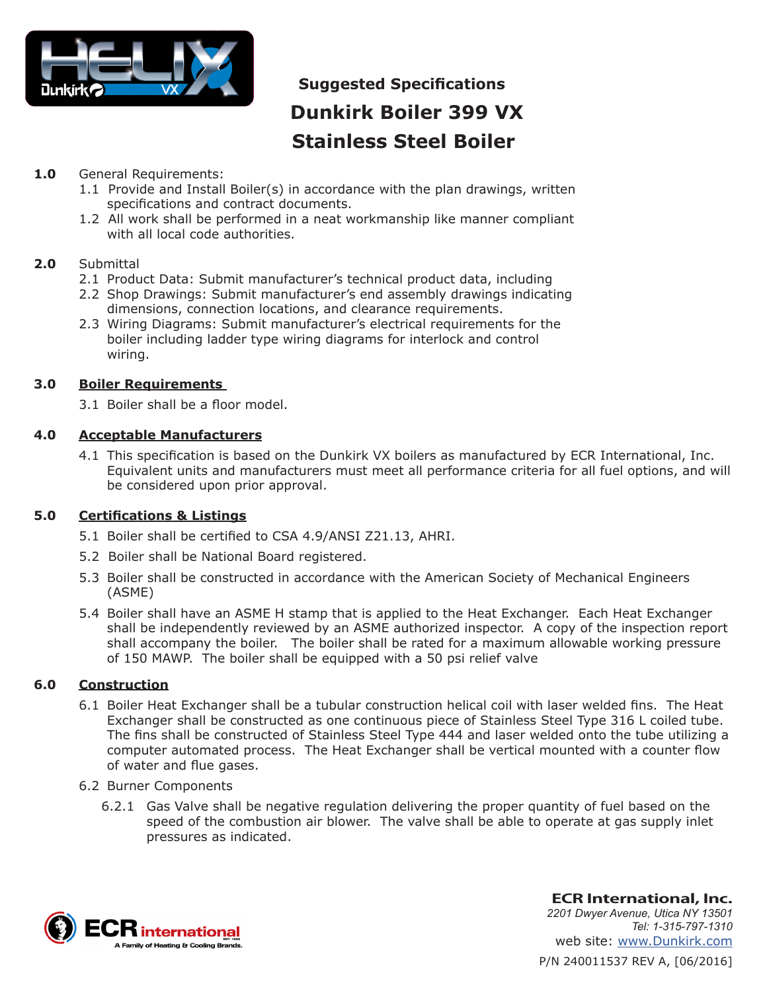

# **Suggested Specifications Dunkirk Boiler 399 VX Stainless Steel Boiler**

# **1.0** General Requirements:

- 1.1 Provide and Install Boiler(s) in accordance with the plan drawings, written specifications and contract documents.
- 1.2 All work shall be performed in a neat workmanship like manner compliant with all local code authorities.

# **2.0** Submittal

- 2.1 Product Data: Submit manufacturer's technical product data, including
- 2.2 Shop Drawings: Submit manufacturer's end assembly drawings indicating dimensions, connection locations, and clearance requirements.
- 2.3 Wiring Diagrams: Submit manufacturer's electrical requirements for the boiler including ladder type wiring diagrams for interlock and control wiring.

# **3.0 Boiler Requirements**

3.1 Boiler shall be a floor model.

# **4.0 Acceptable Manufacturers**

4.1 This specification is based on the Dunkirk VX boilers as manufactured by ECR International, Inc. Equivalent units and manufacturers must meet all performance criteria for all fuel options, and will be considered upon prior approval.

# **5.0 Certifications & Listings**

- 5.1 Boiler shall be certified to CSA 4.9/ANSI Z21.13, AHRI.
- 5.2 Boiler shall be National Board registered.
- 5.3 Boiler shall be constructed in accordance with the American Society of Mechanical Engineers (ASME)
- 5.4 Boiler shall have an ASME H stamp that is applied to the Heat Exchanger. Each Heat Exchanger shall be independently reviewed by an ASME authorized inspector. A copy of the inspection report shall accompany the boiler. The boiler shall be rated for a maximum allowable working pressure of 150 MAWP. The boiler shall be equipped with a 50 psi relief valve

# **6.0 Construction**

- 6.1 Boiler Heat Exchanger shall be a tubular construction helical coil with laser welded fins. The Heat Exchanger shall be constructed as one continuous piece of Stainless Steel Type 316 L coiled tube. The fins shall be constructed of Stainless Steel Type 444 and laser welded onto the tube utilizing a computer automated process. The Heat Exchanger shall be vertical mounted with a counter flow of water and flue gases.
- 6.2 Burner Components
	- 6.2.1 Gas Valve shall be negative regulation delivering the proper quantity of fuel based on the speed of the combustion air blower. The valve shall be able to operate at gas supply inlet pressures as indicated.



P/N 240011537 REV A, [06/2016] **ECR International, Inc.** *2201 Dwyer Avenue, Utica NY 13501 Tel: 1-315-797-1310* web site: www.Dunkirk.com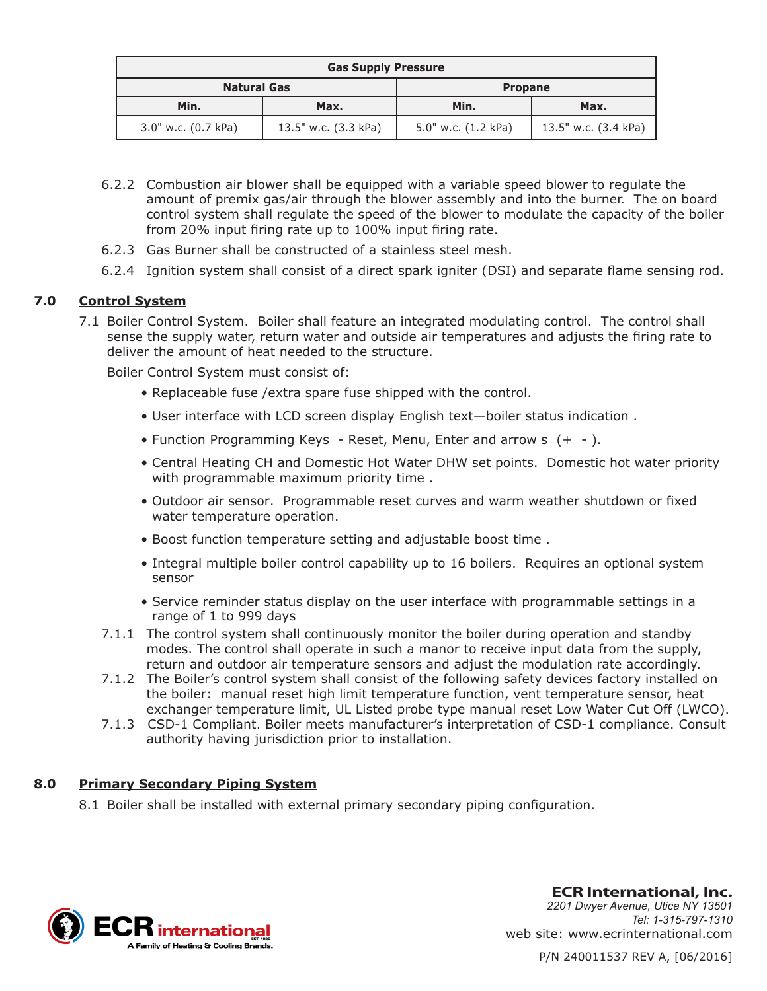| <b>Gas Supply Pressure</b> |                      |                     |                      |
|----------------------------|----------------------|---------------------|----------------------|
| <b>Natural Gas</b>         |                      | <b>Propane</b>      |                      |
| Min.                       | Max.                 | Min.                | Max.                 |
| 3.0" w.c. (0.7 kPa)        | 13.5" w.c. (3.3 kPa) | 5.0" w.c. (1.2 kPa) | 13.5" w.c. (3.4 kPa) |

- 6.2.2 Combustion air blower shall be equipped with a variable speed blower to regulate the amount of premix gas/air through the blower assembly and into the burner. The on board control system shall regulate the speed of the blower to modulate the capacity of the boiler from 20% input firing rate up to 100% input firing rate.
- 6.2.3 Gas Burner shall be constructed of a stainless steel mesh.
- 6.2.4 Ignition system shall consist of a direct spark igniter (DSI) and separate flame sensing rod.

#### **7.0 Control System**

7.1 Boiler Control System. Boiler shall feature an integrated modulating control. The control shall sense the supply water, return water and outside air temperatures and adjusts the firing rate to deliver the amount of heat needed to the structure.

Boiler Control System must consist of:

- Replaceable fuse /extra spare fuse shipped with the control.
- User interface with LCD screen display English text—boiler status indication .
- Function Programming Keys Reset, Menu, Enter and arrow s (+ ).
- Central Heating CH and Domestic Hot Water DHW set points. Domestic hot water priority with programmable maximum priority time .
- Outdoor air sensor. Programmable reset curves and warm weather shutdown or fixed water temperature operation.
- Boost function temperature setting and adjustable boost time .
- Integral multiple boiler control capability up to 16 boilers. Requires an optional system sensor
- Service reminder status display on the user interface with programmable settings in a range of 1 to 999 days
- 7.1.1 The control system shall continuously monitor the boiler during operation and standby modes. The control shall operate in such a manor to receive input data from the supply, return and outdoor air temperature sensors and adjust the modulation rate accordingly.
- 7.1.2 The Boiler's control system shall consist of the following safety devices factory installed on the boiler: manual reset high limit temperature function, vent temperature sensor, heat exchanger temperature limit, UL Listed probe type manual reset Low Water Cut Off (LWCO).
- 7.1.3 CSD-1 Compliant. Boiler meets manufacturer's interpretation of CSD-1 compliance. Consult authority having jurisdiction prior to installation.

#### **8.0 Primary Secondary Piping System**

8.1 Boiler shall be installed with external primary secondary piping configuration.



**ECR International, Inc.** *2201 Dwyer Avenue, Utica NY 13501 Tel: 1-315-797-1310* web site: www.ecrinternational.com

P/N 240011537 REV A, [06/2016]